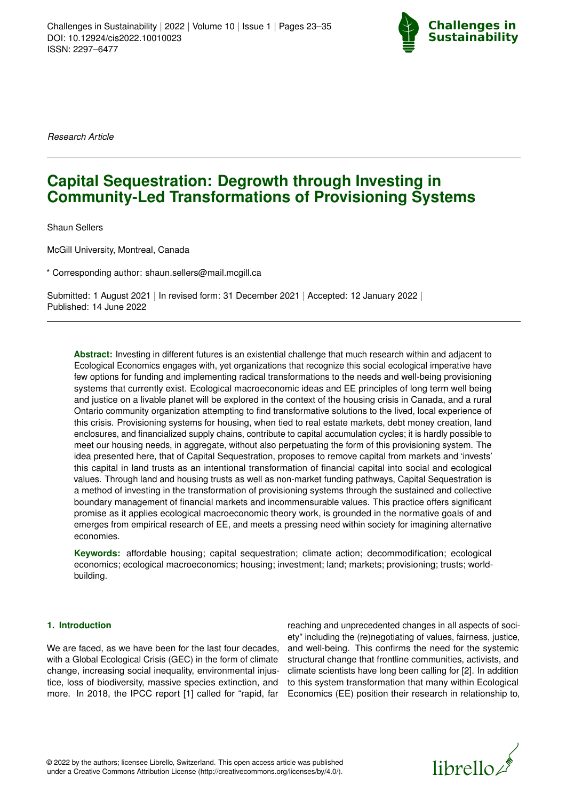

*Research Article*

# **Capital Sequestration: Degrowth through Investing in Community-Led Transformations of Provisioning Systems**

Shaun Sellers

McGill University, Montreal, Canada

\* Corresponding author: shaun.sellers@mail.mcgill.ca

Submitted: 1 August 2021 | In revised form: 31 December 2021 | Accepted: 12 January 2022 | Published: 14 June 2022

**Abstract:** Investing in different futures is an existential challenge that much research within and adjacent to Ecological Economics engages with, yet organizations that recognize this social ecological imperative have few options for funding and implementing radical transformations to the needs and well-being provisioning systems that currently exist. Ecological macroeconomic ideas and EE principles of long term well being and justice on a livable planet will be explored in the context of the housing crisis in Canada, and a rural Ontario community organization attempting to find transformative solutions to the lived, local experience of this crisis. Provisioning systems for housing, when tied to real estate markets, debt money creation, land enclosures, and financialized supply chains, contribute to capital accumulation cycles; it is hardly possible to meet our housing needs, in aggregate, without also perpetuating the form of this provisioning system. The idea presented here, that of Capital Sequestration, proposes to remove capital from markets and 'invests' this capital in land trusts as an intentional transformation of financial capital into social and ecological values. Through land and housing trusts as well as non-market funding pathways, Capital Sequestration is a method of investing in the transformation of provisioning systems through the sustained and collective boundary management of financial markets and incommensurable values. This practice offers significant promise as it applies ecological macroeconomic theory work, is grounded in the normative goals of and emerges from empirical research of EE, and meets a pressing need within society for imagining alternative economies.

**Keywords:** affordable housing; capital sequestration; climate action; decommodification; ecological economics; ecological macroeconomics; housing; investment; land; markets; provisioning; trusts; worldbuilding.

## **1. Introduction**

We are faced, as we have been for the last four decades, with a Global Ecological Crisis (GEC) in the form of climate change, increasing social inequality, environmental injustice, loss of biodiversity, massive species extinction, and more. In 2018, the IPCC report [\[1\]](#page-10-0) called for "rapid, far

reaching and unprecedented changes in all aspects of society" including the (re)negotiating of values, fairness, justice, and well-being. This confirms the need for the systemic structural change that frontline communities, activists, and climate scientists have long been calling for [\[2\]](#page-10-1). In addition to this system transformation that many within Ecological Economics (EE) position their research in relationship to,

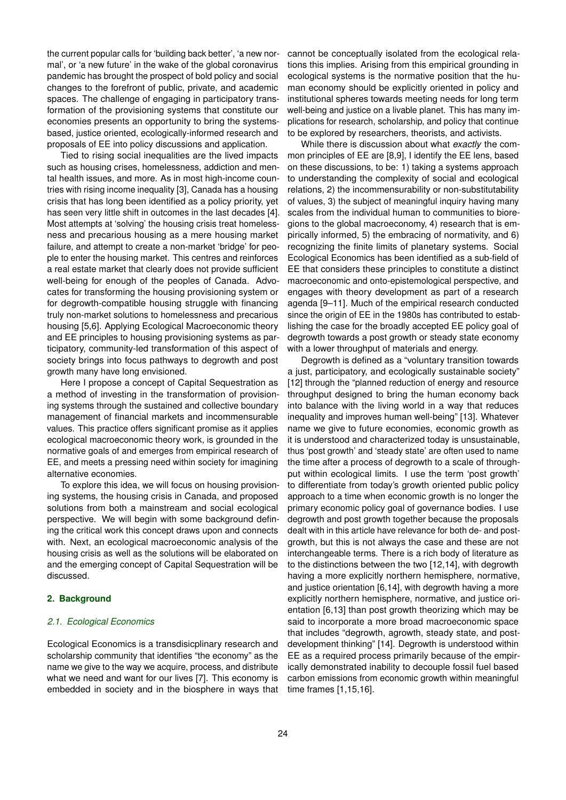the current popular calls for 'building back better', 'a new normal', or 'a new future' in the wake of the global coronavirus pandemic has brought the prospect of bold policy and social changes to the forefront of public, private, and academic spaces. The challenge of engaging in participatory transformation of the provisioning systems that constitute our economies presents an opportunity to bring the systemsbased, justice oriented, ecologically-informed research and proposals of EE into policy discussions and application.

Tied to rising social inequalities are the lived impacts such as housing crises, homelessness, addiction and mental health issues, and more. As in most high-income countries with rising income inequality [\[3\]](#page-10-2), Canada has a housing crisis that has long been identified as a policy priority, yet has seen very little shift in outcomes in the last decades [\[4\]](#page-10-3). Most attempts at 'solving' the housing crisis treat homelessness and precarious housing as a mere housing market failure, and attempt to create a non-market 'bridge' for people to enter the housing market. This centres and reinforces a real estate market that clearly does not provide sufficient well-being for enough of the peoples of Canada. Advocates for transforming the housing provisioning system or for degrowth-compatible housing struggle with financing truly non-market solutions to homelessness and precarious housing [\[5](#page-10-4)[,6\]](#page-10-5). Applying Ecological Macroeconomic theory and EE principles to housing provisioning systems as participatory, community-led transformation of this aspect of society brings into focus pathways to degrowth and post growth many have long envisioned.

Here I propose a concept of Capital Sequestration as a method of investing in the transformation of provisioning systems through the sustained and collective boundary management of financial markets and incommensurable values. This practice offers significant promise as it applies ecological macroeconomic theory work, is grounded in the normative goals of and emerges from empirical research of EE, and meets a pressing need within society for imagining alternative economies.

To explore this idea, we will focus on housing provisioning systems, the housing crisis in Canada, and proposed solutions from both a mainstream and social ecological perspective. We will begin with some background defining the critical work this concept draws upon and connects with. Next, an ecological macroeconomic analysis of the housing crisis as well as the solutions will be elaborated on and the emerging concept of Capital Sequestration will be discussed.

## **2. Background**

#### *2.1. Ecological Economics*

Ecological Economics is a transdisicplinary research and scholarship community that identifies "the economy" as the name we give to the way we acquire, process, and distribute what we need and want for our lives [\[7\]](#page-10-6). This economy is embedded in society and in the biosphere in ways that cannot be conceptually isolated from the ecological relations this implies. Arising from this empirical grounding in ecological systems is the normative position that the human economy should be explicitly oriented in policy and institutional spheres towards meeting needs for long term well-being and justice on a livable planet. This has many implications for research, scholarship, and policy that continue to be explored by researchers, theorists, and activists.

While there is discussion about what *exactly* the common principles of EE are [\[8,](#page-10-7)[9\]](#page-10-8), I identify the EE lens, based on these discussions, to be: 1) taking a systems approach to understanding the complexity of social and ecological relations, 2) the incommensurability or non-substitutability of values, 3) the subject of meaningful inquiry having many scales from the individual human to communities to bioregions to the global macroeconomy, 4) research that is empirically informed, 5) the embracing of normativity, and 6) recognizing the finite limits of planetary systems. Social Ecological Economics has been identified as a sub-field of EE that considers these principles to constitute a distinct macroeconomic and onto-epistemological perspective, and engages with theory development as part of a research agenda [\[9–](#page-10-8)[11\]](#page-10-9). Much of the empirical research conducted since the origin of EE in the 1980s has contributed to establishing the case for the broadly accepted EE policy goal of degrowth towards a post growth or steady state economy with a lower throughput of materials and energy.

Degrowth is defined as a "voluntary transition towards a just, participatory, and ecologically sustainable society" [\[12\]](#page-10-10) through the "planned reduction of energy and resource throughput designed to bring the human economy back into balance with the living world in a way that reduces inequality and improves human well-being" [\[13\]](#page-10-11). Whatever name we give to future economies, economic growth as it is understood and characterized today is unsustainable, thus 'post growth' and 'steady state' are often used to name the time after a process of degrowth to a scale of throughput within ecological limits. I use the term 'post growth' to differentiate from today's growth oriented public policy approach to a time when economic growth is no longer the primary economic policy goal of governance bodies. I use degrowth and post growth together because the proposals dealt with in this article have relevance for both de- and postgrowth, but this is not always the case and these are not interchangeable terms. There is a rich body of literature as to the distinctions between the two [\[12](#page-10-10)[,14\]](#page-10-12), with degrowth having a more explicitly northern hemisphere, normative, and justice orientation [\[6](#page-10-5)[,14\]](#page-10-12), with degrowth having a more explicitly northern hemisphere, normative, and justice orientation [\[6,](#page-10-5)[13\]](#page-10-11) than post growth theorizing which may be said to incorporate a more broad macroeconomic space that includes "degrowth, agrowth, steady state, and postdevelopment thinking" [\[14\]](#page-10-12). Degrowth is understood within EE as a required process primarily because of the empirically demonstrated inability to decouple fossil fuel based carbon emissions from economic growth within meaningful time frames [\[1](#page-10-0)[,15,](#page-10-13)[16\]](#page-10-14).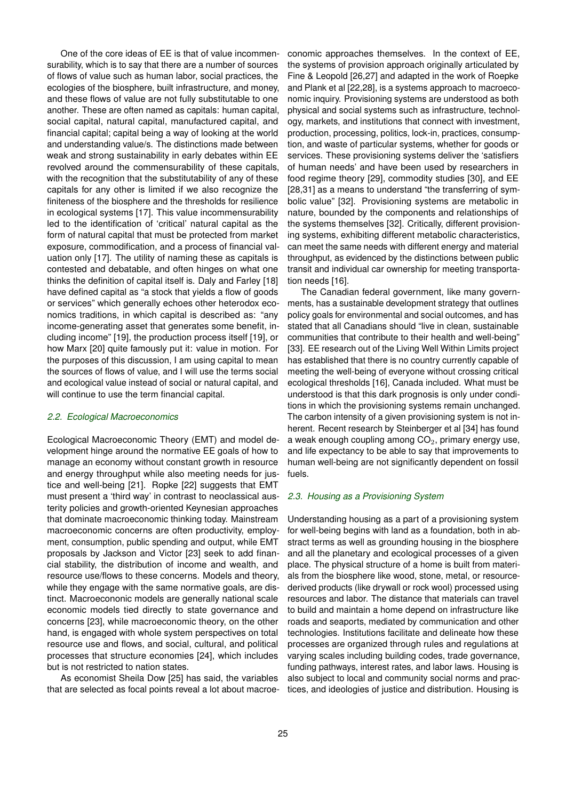One of the core ideas of EE is that of value incommensurability, which is to say that there are a number of sources of flows of value such as human labor, social practices, the ecologies of the biosphere, built infrastructure, and money, and these flows of value are not fully substitutable to one another. These are often named as capitals: human capital, social capital, natural capital, manufactured capital, and financial capital; capital being a way of looking at the world and understanding value/s. The distinctions made between weak and strong sustainability in early debates within EE revolved around the commensurability of these capitals, with the recognition that the substitutability of any of these capitals for any other is limited if we also recognize the finiteness of the biosphere and the thresholds for resilience in ecological systems [\[17\]](#page-10-15). This value incommensurability led to the identification of 'critical' natural capital as the form of natural capital that must be protected from market exposure, commodification, and a process of financial valuation only [\[17\]](#page-10-15). The utility of naming these as capitals is contested and debatable, and often hinges on what one thinks the definition of capital itself is. Daly and Farley [\[18\]](#page-10-16) have defined capital as "a stock that yields a flow of goods or services" which generally echoes other heterodox economics traditions, in which capital is described as: "any income-generating asset that generates some benefit, including income" [\[19\]](#page-10-17), the production process itself [\[19\]](#page-10-17), or how Marx [\[20\]](#page-10-18) quite famously put it: value in motion. For the purposes of this discussion, I am using capital to mean the sources of flows of value, and I will use the terms social and ecological value instead of social or natural capital, and will continue to use the term financial capital.

#### *2.2. Ecological Macroeconomics*

Ecological Macroeconomic Theory (EMT) and model development hinge around the normative EE goals of how to manage an economy without constant growth in resource and energy throughput while also meeting needs for justice and well-being [\[21\]](#page-10-19). Ropke [\[22\]](#page-10-20) suggests that EMT must present a 'third way' in contrast to neoclassical austerity policies and growth-oriented Keynesian approaches that dominate macroeconomic thinking today. Mainstream macroeconomic concerns are often productivity, employment, consumption, public spending and output, while EMT proposals by Jackson and Victor [\[23\]](#page-10-21) seek to add financial stability, the distribution of income and wealth, and resource use/flows to these concerns. Models and theory, while they engage with the same normative goals, are distinct. Macroecononic models are generally national scale economic models tied directly to state governance and concerns [\[23\]](#page-10-21), while macroeconomic theory, on the other hand, is engaged with whole system perspectives on total resource use and flows, and social, cultural, and political processes that structure economies [\[24\]](#page-10-22), which includes but is not restricted to nation states.

As economist Sheila Dow [\[25\]](#page-10-23) has said, the variables that are selected as focal points reveal a lot about macroeconomic approaches themselves. In the context of EE, the systems of provision approach originally articulated by Fine & Leopold [\[26,](#page-10-24)[27\]](#page-10-25) and adapted in the work of Roepke and Plank et al [\[22](#page-10-20)[,28\]](#page-10-26), is a systems approach to macroeconomic inquiry. Provisioning systems are understood as both physical and social systems such as infrastructure, technology, markets, and institutions that connect with investment, production, processing, politics, lock-in, practices, consumption, and waste of particular systems, whether for goods or services. These provisioning systems deliver the 'satisfiers of human needs' and have been used by researchers in food regime theory [\[29\]](#page-10-27), commodity studies [\[30\]](#page-10-28), and EE [\[28](#page-10-26)[,31\]](#page-10-29) as a means to understand "the transferring of symbolic value" [\[32\]](#page-10-30). Provisioning systems are metabolic in nature, bounded by the components and relationships of the systems themselves [\[32\]](#page-10-30). Critically, different provisioning systems, exhibiting different metabolic characteristics, can meet the same needs with different energy and material throughput, as evidenced by the distinctions between public transit and individual car ownership for meeting transportation needs [\[16\]](#page-10-14).

The Canadian federal government, like many governments, has a sustainable development strategy that outlines policy goals for environmental and social outcomes, and has stated that all Canadians should "live in clean, sustainable communities that contribute to their health and well-being" [\[33\]](#page-10-31). EE research out of the Living Well Within Limits project has established that there is no country currently capable of meeting the well-being of everyone without crossing critical ecological thresholds [\[16\]](#page-10-14), Canada included. What must be understood is that this dark prognosis is only under conditions in which the provisioning systems remain unchanged. The carbon intensity of a given provisioning system is not inherent. Recent research by Steinberger et al [\[34\]](#page-10-32) has found a weak enough coupling among  $CO<sub>2</sub>$ , primary energy use, and life expectancy to be able to say that improvements to human well-being are not significantly dependent on fossil fuels.

#### *2.3. Housing as a Provisioning System*

Understanding housing as a part of a provisioning system for well-being begins with land as a foundation, both in abstract terms as well as grounding housing in the biosphere and all the planetary and ecological processes of a given place. The physical structure of a home is built from materials from the biosphere like wood, stone, metal, or resourcederived products (like drywall or rock wool) processed using resources and labor. The distance that materials can travel to build and maintain a home depend on infrastructure like roads and seaports, mediated by communication and other technologies. Institutions facilitate and delineate how these processes are organized through rules and regulations at varying scales including building codes, trade governance, funding pathways, interest rates, and labor laws. Housing is also subject to local and community social norms and practices, and ideologies of justice and distribution. Housing is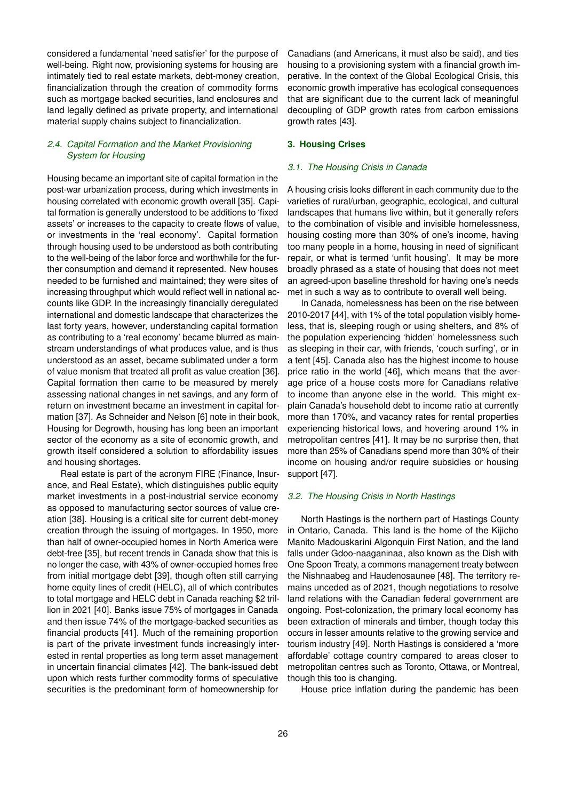considered a fundamental 'need satisfier' for the purpose of well-being. Right now, provisioning systems for housing are intimately tied to real estate markets, debt-money creation, financialization through the creation of commodity forms such as mortgage backed securities, land enclosures and land legally defined as private property, and international material supply chains subject to financialization.

# *2.4. Capital Formation and the Market Provisioning System for Housing*

Housing became an important site of capital formation in the post-war urbanization process, during which investments in housing correlated with economic growth overall [\[35\]](#page-10-33). Capital formation is generally understood to be additions to 'fixed assets' or increases to the capacity to create flows of value, or investments in the 'real economy'. Capital formation through housing used to be understood as both contributing to the well-being of the labor force and worthwhile for the further consumption and demand it represented. New houses needed to be furnished and maintained; they were sites of increasing throughput which would reflect well in national accounts like GDP. In the increasingly financially deregulated international and domestic landscape that characterizes the last forty years, however, understanding capital formation as contributing to a 'real economy' became blurred as mainstream understandings of what produces value, and is thus understood as an asset, became sublimated under a form of value monism that treated all profit as value creation [\[36\]](#page-10-34). Capital formation then came to be measured by merely assessing national changes in net savings, and any form of return on investment became an investment in capital formation [\[37\]](#page-10-35). As Schneider and Nelson [\[6\]](#page-10-5) note in their book, Housing for Degrowth, housing has long been an important sector of the economy as a site of economic growth, and growth itself considered a solution to affordability issues and housing shortages.

Real estate is part of the acronym FIRE (Finance, Insurance, and Real Estate), which distinguishes public equity market investments in a post-industrial service economy as opposed to manufacturing sector sources of value creation [\[38\]](#page-10-36). Housing is a critical site for current debt-money creation through the issuing of mortgages. In 1950, more than half of owner-occupied homes in North America were debt-free [\[35\]](#page-10-33), but recent trends in Canada show that this is no longer the case, with 43% of owner-occupied homes free from initial mortgage debt [\[39\]](#page-10-37), though often still carrying home equity lines of credit (HELC), all of which contributes to total mortgage and HELC debt in Canada reaching \$2 trillion in 2021 [\[40\]](#page-10-38). Banks issue 75% of mortgages in Canada and then issue 74% of the mortgage-backed securities as financial products [\[41\]](#page-10-39). Much of the remaining proportion is part of the private investment funds increasingly interested in rental properties as long term asset management in uncertain financial climates [\[42\]](#page-10-40). The bank-issued debt upon which rests further commodity forms of speculative securities is the predominant form of homeownership for

Canadians (and Americans, it must also be said), and ties housing to a provisioning system with a financial growth imperative. In the context of the Global Ecological Crisis, this economic growth imperative has ecological consequences that are significant due to the current lack of meaningful decoupling of GDP growth rates from carbon emissions growth rates [\[43\]](#page-11-0).

## **3. Housing Crises**

#### *3.1. The Housing Crisis in Canada*

A housing crisis looks different in each community due to the varieties of rural/urban, geographic, ecological, and cultural landscapes that humans live within, but it generally refers to the combination of visible and invisible homelessness, housing costing more than 30% of one's income, having too many people in a home, housing in need of significant repair, or what is termed 'unfit housing'. It may be more broadly phrased as a state of housing that does not meet an agreed-upon baseline threshold for having one's needs met in such a way as to contribute to overall well being.

In Canada, homelessness has been on the rise between 2010-2017 [\[44\]](#page-11-1), with 1% of the total population visibly homeless, that is, sleeping rough or using shelters, and 8% of the population experiencing 'hidden' homelessness such as sleeping in their car, with friends, 'couch surfing', or in a tent [\[45\]](#page-11-2). Canada also has the highest income to house price ratio in the world [\[46\]](#page-11-3), which means that the average price of a house costs more for Canadians relative to income than anyone else in the world. This might explain Canada's household debt to income ratio at currently more than 170%, and vacancy rates for rental properties experiencing historical lows, and hovering around 1% in metropolitan centres [\[41\]](#page-10-39). It may be no surprise then, that more than 25% of Canadians spend more than 30% of their income on housing and/or require subsidies or housing support [\[47\]](#page-11-4).

#### *3.2. The Housing Crisis in North Hastings*

North Hastings is the northern part of Hastings County in Ontario, Canada. This land is the home of the Kijicho Manito Madouskarini Algonquin First Nation, and the land falls under Gdoo-naaganinaa, also known as the Dish with One Spoon Treaty, a commons management treaty between the Nishnaabeg and Haudenosaunee [\[48\]](#page-11-5). The territory remains unceded as of 2021, though negotiations to resolve land relations with the Canadian federal government are ongoing. Post-colonization, the primary local economy has been extraction of minerals and timber, though today this occurs in lesser amounts relative to the growing service and tourism industry [\[49\]](#page-11-6). North Hastings is considered a 'more affordable' cottage country compared to areas closer to metropolitan centres such as Toronto, Ottawa, or Montreal, though this too is changing.

House price inflation during the pandemic has been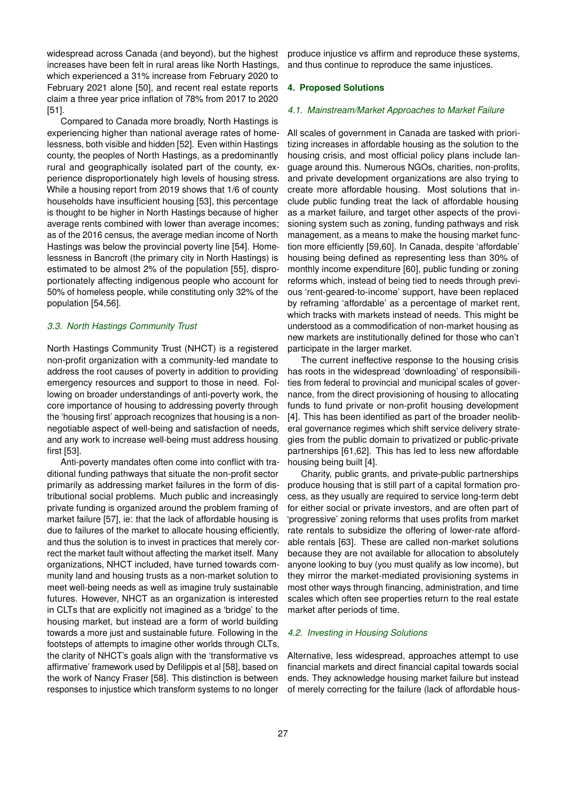widespread across Canada (and beyond), but the highest increases have been felt in rural areas like North Hastings, which experienced a 31% increase from February 2020 to February 2021 alone [\[50\]](#page-11-7), and recent real estate reports claim a three year price inflation of 78% from 2017 to 2020 [\[51\]](#page-11-8).

Compared to Canada more broadly, North Hastings is experiencing higher than national average rates of homelessness, both visible and hidden [\[52\]](#page-11-9). Even within Hastings county, the peoples of North Hastings, as a predominantly rural and geographically isolated part of the county, experience disproportionately high levels of housing stress. While a housing report from 2019 shows that 1/6 of county households have insufficient housing [\[53\]](#page-11-10), this percentage is thought to be higher in North Hastings because of higher average rents combined with lower than average incomes; as of the 2016 census, the average median income of North Hastings was below the provincial poverty line [\[54\]](#page-11-11). Homelessness in Bancroft (the primary city in North Hastings) is estimated to be almost 2% of the population [\[55\]](#page-11-12), disproportionately affecting indigenous people who account for 50% of homeless people, while constituting only 32% of the population [\[54,](#page-11-11)[56\]](#page-11-13).

#### *3.3. North Hastings Community Trust*

North Hastings Community Trust (NHCT) is a registered non-profit organization with a community-led mandate to address the root causes of poverty in addition to providing emergency resources and support to those in need. Following on broader understandings of anti-poverty work, the core importance of housing to addressing poverty through the 'housing first' approach recognizes that housing is a nonnegotiable aspect of well-being and satisfaction of needs, and any work to increase well-being must address housing first [\[53\]](#page-11-10).

Anti-poverty mandates often come into conflict with traditional funding pathways that situate the non-profit sector primarily as addressing market failures in the form of distributional social problems. Much public and increasingly private funding is organized around the problem framing of market failure [\[57\]](#page-11-14), ie: that the lack of affordable housing is due to failures of the market to allocate housing efficiently, and thus the solution is to invest in practices that merely correct the market fault without affecting the market itself. Many organizations, NHCT included, have turned towards community land and housing trusts as a non-market solution to meet well-being needs as well as imagine truly sustainable futures. However, NHCT as an organization is interested in CLTs that are explicitly not imagined as a 'bridge' to the housing market, but instead are a form of world building towards a more just and sustainable future. Following in the footsteps of attempts to imagine other worlds through CLTs, the clarity of NHCT's goals align with the 'transformative vs affirmative' framework used by Defilippis et al [\[58\]](#page-11-15), based on the work of Nancy Fraser [\[58\]](#page-11-15). This distinction is between responses to injustice which transform systems to no longer produce injustice vs affirm and reproduce these systems, and thus continue to reproduce the same injustices.

#### **4. Proposed Solutions**

#### *4.1. Mainstream/Market Approaches to Market Failure*

All scales of government in Canada are tasked with prioritizing increases in affordable housing as the solution to the housing crisis, and most official policy plans include language around this. Numerous NGOs, charities, non-profits, and private development organizations are also trying to create more affordable housing. Most solutions that include public funding treat the lack of affordable housing as a market failure, and target other aspects of the provisioning system such as zoning, funding pathways and risk management, as a means to make the housing market function more efficiently [\[59](#page-11-16)[,60\]](#page-11-17). In Canada, despite 'affordable' housing being defined as representing less than 30% of monthly income expenditure [\[60\]](#page-11-17), public funding or zoning reforms which, instead of being tied to needs through previous 'rent-geared-to-income' support, have been replaced by reframing 'affordable' as a percentage of market rent, which tracks with markets instead of needs. This might be understood as a commodification of non-market housing as new markets are institutionally defined for those who can't participate in the larger market.

The current ineffective response to the housing crisis has roots in the widespread 'downloading' of responsibilities from federal to provincial and municipal scales of governance, from the direct provisioning of housing to allocating funds to fund private or non-profit housing development [\[4\]](#page-10-3). This has been identified as part of the broader neoliberal governance regimes which shift service delivery strategies from the public domain to privatized or public-private partnerships [\[61](#page-11-18)[,62\]](#page-11-19). This has led to less new affordable housing being built [\[4\]](#page-10-3).

Charity, public grants, and private-public partnerships produce housing that is still part of a capital formation process, as they usually are required to service long-term debt for either social or private investors, and are often part of 'progressive' zoning reforms that uses profits from market rate rentals to subsidize the offering of lower-rate affordable rentals [\[63\]](#page-11-20). These are called non-market solutions because they are not available for allocation to absolutely anyone looking to buy (you must qualify as low income), but they mirror the market-mediated provisioning systems in most other ways through financing, administration, and time scales which often see properties return to the real estate market after periods of time.

#### *4.2. Investing in Housing Solutions*

Alternative, less widespread, approaches attempt to use financial markets and direct financial capital towards social ends. They acknowledge housing market failure but instead of merely correcting for the failure (lack of affordable hous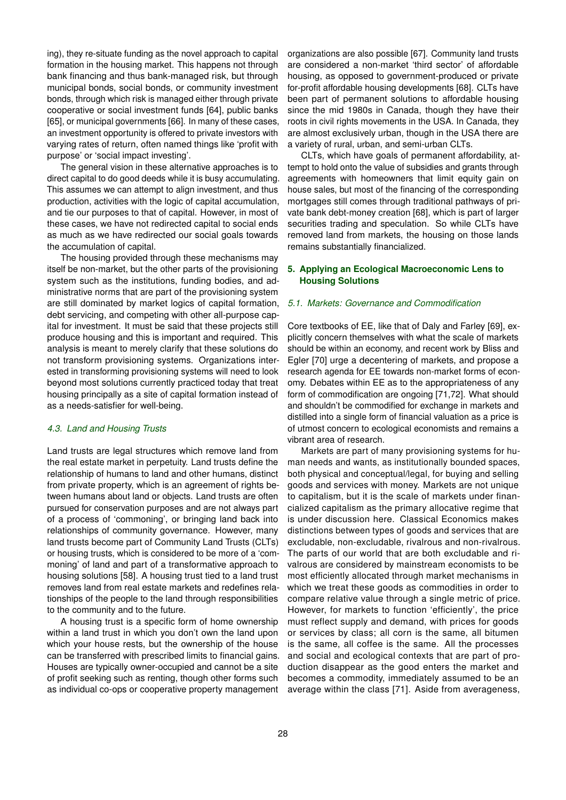ing), they re-situate funding as the novel approach to capital formation in the housing market. This happens not through bank financing and thus bank-managed risk, but through municipal bonds, social bonds, or community investment bonds, through which risk is managed either through private cooperative or social investment funds [\[64\]](#page-11-21), public banks [\[65\]](#page-11-22), or municipal governments [\[66\]](#page-11-23). In many of these cases, an investment opportunity is offered to private investors with varying rates of return, often named things like 'profit with purpose' or 'social impact investing'.

The general vision in these alternative approaches is to direct capital to do good deeds while it is busy accumulating. This assumes we can attempt to align investment, and thus production, activities with the logic of capital accumulation, and tie our purposes to that of capital. However, in most of these cases, we have not redirected capital to social ends as much as we have redirected our social goals towards the accumulation of capital.

The housing provided through these mechanisms may itself be non-market, but the other parts of the provisioning system such as the institutions, funding bodies, and administrative norms that are part of the provisioning system are still dominated by market logics of capital formation, debt servicing, and competing with other all-purpose capital for investment. It must be said that these projects still produce housing and this is important and required. This analysis is meant to merely clarify that these solutions do not transform provisioning systems. Organizations interested in transforming provisioning systems will need to look beyond most solutions currently practiced today that treat housing principally as a site of capital formation instead of as a needs-satisfier for well-being.

#### *4.3. Land and Housing Trusts*

Land trusts are legal structures which remove land from the real estate market in perpetuity. Land trusts define the relationship of humans to land and other humans, distinct from private property, which is an agreement of rights between humans about land or objects. Land trusts are often pursued for conservation purposes and are not always part of a process of 'commoning', or bringing land back into relationships of community governance. However, many land trusts become part of Community Land Trusts (CLTs) or housing trusts, which is considered to be more of a 'commoning' of land and part of a transformative approach to housing solutions [\[58\]](#page-11-15). A housing trust tied to a land trust removes land from real estate markets and redefines relationships of the people to the land through responsibilities to the community and to the future.

A housing trust is a specific form of home ownership within a land trust in which you don't own the land upon which your house rests, but the ownership of the house can be transferred with prescribed limits to financial gains. Houses are typically owner-occupied and cannot be a site of profit seeking such as renting, though other forms such as individual co-ops or cooperative property management organizations are also possible [\[67\]](#page-11-24). Community land trusts are considered a non-market 'third sector' of affordable housing, as opposed to government-produced or private for-profit affordable housing developments [\[68\]](#page-11-25). CLTs have been part of permanent solutions to affordable housing since the mid 1980s in Canada, though they have their roots in civil rights movements in the USA. In Canada, they are almost exclusively urban, though in the USA there are a variety of rural, urban, and semi-urban CLTs.

CLTs, which have goals of permanent affordability, attempt to hold onto the value of subsidies and grants through agreements with homeowners that limit equity gain on house sales, but most of the financing of the corresponding mortgages still comes through traditional pathways of private bank debt-money creation [\[68\]](#page-11-25), which is part of larger securities trading and speculation. So while CLTs have removed land from markets, the housing on those lands remains substantially financialized.

## **5. Applying an Ecological Macroeconomic Lens to Housing Solutions**

#### *5.1. Markets: Governance and Commodification*

Core textbooks of EE, like that of Daly and Farley [\[69\]](#page-11-26), explicitly concern themselves with what the scale of markets should be within an economy, and recent work by Bliss and Egler [\[70\]](#page-11-27) urge a decentering of markets, and propose a research agenda for EE towards non-market forms of economy. Debates within EE as to the appropriateness of any form of commodification are ongoing [\[71](#page-11-28)[,72\]](#page-11-29). What should and shouldn't be commodified for exchange in markets and distilled into a single form of financial valuation as a price is of utmost concern to ecological economists and remains a vibrant area of research.

Markets are part of many provisioning systems for human needs and wants, as institutionally bounded spaces, both physical and conceptual/legal, for buying and selling goods and services with money. Markets are not unique to capitalism, but it is the scale of markets under financialized capitalism as the primary allocative regime that is under discussion here. Classical Economics makes distinctions between types of goods and services that are excludable, non-excludable, rivalrous and non-rivalrous. The parts of our world that are both excludable and rivalrous are considered by mainstream economists to be most efficiently allocated through market mechanisms in which we treat these goods as commodities in order to compare relative value through a single metric of price. However, for markets to function 'efficiently', the price must reflect supply and demand, with prices for goods or services by class; all corn is the same, all bitumen is the same, all coffee is the same. All the processes and social and ecological contexts that are part of production disappear as the good enters the market and becomes a commodity, immediately assumed to be an average within the class [\[71\]](#page-11-28). Aside from averageness,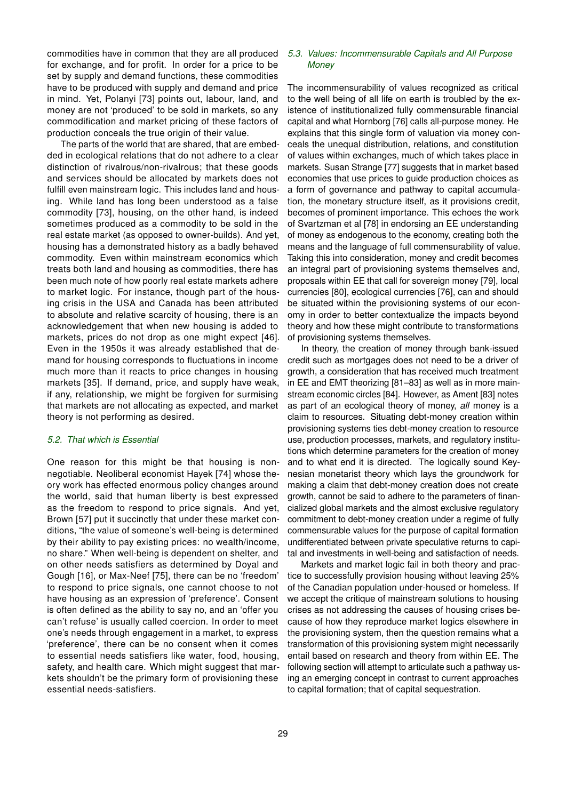commodities have in common that they are all produced for exchange, and for profit. In order for a price to be set by supply and demand functions, these commodities have to be produced with supply and demand and price in mind. Yet, Polanyi [\[73\]](#page-11-30) points out, labour, land, and money are not 'produced' to be sold in markets, so any commodification and market pricing of these factors of production conceals the true origin of their value.

The parts of the world that are shared, that are embedded in ecological relations that do not adhere to a clear distinction of rivalrous/non-rivalrous; that these goods and services should be allocated by markets does not fulfill even mainstream logic. This includes land and housing. While land has long been understood as a false commodity [\[73\]](#page-11-30), housing, on the other hand, is indeed sometimes produced as a commodity to be sold in the real estate market (as opposed to owner-builds). And yet, housing has a demonstrated history as a badly behaved commodity. Even within mainstream economics which treats both land and housing as commodities, there has been much note of how poorly real estate markets adhere to market logic. For instance, though part of the housing crisis in the USA and Canada has been attributed to absolute and relative scarcity of housing, there is an acknowledgement that when new housing is added to markets, prices do not drop as one might expect [\[46\]](#page-11-3). Even in the 1950s it was already established that demand for housing corresponds to fluctuations in income much more than it reacts to price changes in housing markets [\[35\]](#page-10-33). If demand, price, and supply have weak, if any, relationship, we might be forgiven for surmising that markets are not allocating as expected, and market theory is not performing as desired.

#### *5.2. That which is Essential*

One reason for this might be that housing is nonnegotiable. Neoliberal economist Hayek [\[74\]](#page-11-31) whose theory work has effected enormous policy changes around the world, said that human liberty is best expressed as the freedom to respond to price signals. And yet, Brown [\[57\]](#page-11-14) put it succinctly that under these market conditions, "the value of someone's well-being is determined by their ability to pay existing prices: no wealth/income, no share." When well-being is dependent on shelter, and on other needs satisfiers as determined by Doyal and Gough [\[16\]](#page-10-14), or Max-Neef [\[75\]](#page-11-32), there can be no 'freedom' to respond to price signals, one cannot choose to not have housing as an expression of 'preference'. Consent is often defined as the ability to say no, and an 'offer you can't refuse' is usually called coercion. In order to meet one's needs through engagement in a market, to express 'preference', there can be no consent when it comes to essential needs satisfiers like water, food, housing, safety, and health care. Which might suggest that markets shouldn't be the primary form of provisioning these essential needs-satisfiers.

## *5.3. Values: Incommensurable Capitals and All Purpose Money*

The incommensurability of values recognized as critical to the well being of all life on earth is troubled by the existence of institutionalized fully commensurable financial capital and what Hornborg [\[76\]](#page-11-33) calls all-purpose money. He explains that this single form of valuation via money conceals the unequal distribution, relations, and constitution of values within exchanges, much of which takes place in markets. Susan Strange [\[77\]](#page-11-34) suggests that in market based economies that use prices to guide production choices as a form of governance and pathway to capital accumulation, the monetary structure itself, as it provisions credit, becomes of prominent importance. This echoes the work of Svartzman et al [\[78\]](#page-11-35) in endorsing an EE understanding of money as endogenous to the economy, creating both the means and the language of full commensurability of value. Taking this into consideration, money and credit becomes an integral part of provisioning systems themselves and, proposals within EE that call for sovereign money [\[79\]](#page-11-36), local currencies [\[80\]](#page-11-37), ecological currencies [\[76\]](#page-11-33), can and should be situated within the provisioning systems of our economy in order to better contextualize the impacts beyond theory and how these might contribute to transformations of provisioning systems themselves.

In theory, the creation of money through bank-issued credit such as mortgages does not need to be a driver of growth, a consideration that has received much treatment in EE and EMT theorizing [\[81](#page-11-38)[–83\]](#page-11-39) as well as in more mainstream economic circles [\[84\]](#page-11-40). However, as Ament [\[83\]](#page-11-39) notes as part of an ecological theory of money, *all* money is a claim to resources. Situating debt-money creation within provisioning systems ties debt-money creation to resource use, production processes, markets, and regulatory institutions which determine parameters for the creation of money and to what end it is directed. The logically sound Keynesian monetarist theory which lays the groundwork for making a claim that debt-money creation does not create growth, cannot be said to adhere to the parameters of financialized global markets and the almost exclusive regulatory commitment to debt-money creation under a regime of fully commensurable values for the purpose of capital formation undifferentiated between private speculative returns to capital and investments in well-being and satisfaction of needs.

Markets and market logic fail in both theory and practice to successfully provision housing without leaving 25% of the Canadian population under-housed or homeless. If we accept the critique of mainstream solutions to housing crises as not addressing the causes of housing crises because of how they reproduce market logics elsewhere in the provisioning system, then the question remains what a transformation of this provisioning system might necessarily entail based on research and theory from within EE. The following section will attempt to articulate such a pathway using an emerging concept in contrast to current approaches to capital formation; that of capital sequestration.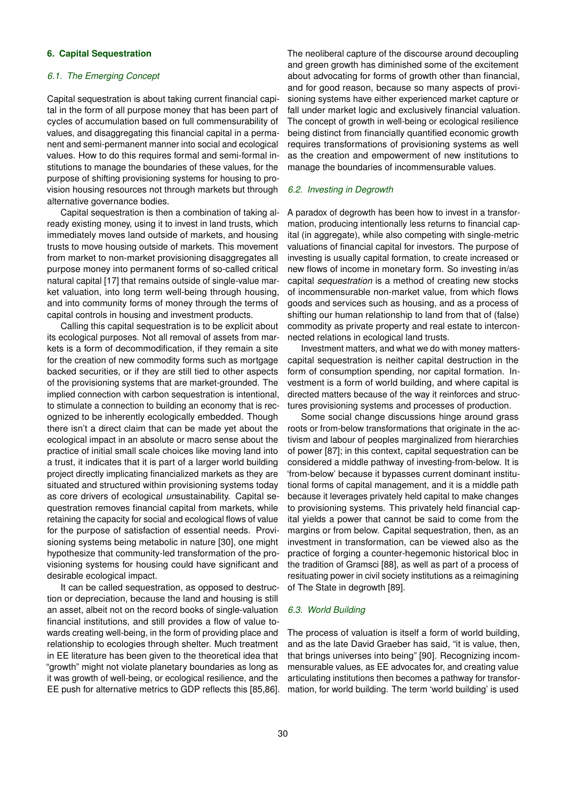## **6. Capital Sequestration**

#### *6.1. The Emerging Concept*

Capital sequestration is about taking current financial capital in the form of all purpose money that has been part of cycles of accumulation based on full commensurability of values, and disaggregating this financial capital in a permanent and semi-permanent manner into social and ecological values. How to do this requires formal and semi-formal institutions to manage the boundaries of these values, for the purpose of shifting provisioning systems for housing to provision housing resources not through markets but through alternative governance bodies.

Capital sequestration is then a combination of taking already existing money, using it to invest in land trusts, which immediately moves land outside of markets, and housing trusts to move housing outside of markets. This movement from market to non-market provisioning disaggregates all purpose money into permanent forms of so-called critical natural capital [\[17\]](#page-10-15) that remains outside of single-value market valuation, into long term well-being through housing, and into community forms of money through the terms of capital controls in housing and investment products.

Calling this capital sequestration is to be explicit about its ecological purposes. Not all removal of assets from markets is a form of decommodification, if they remain a site for the creation of new commodity forms such as mortgage backed securities, or if they are still tied to other aspects of the provisioning systems that are market-grounded. The implied connection with carbon sequestration is intentional, to stimulate a connection to building an economy that is recognized to be inherently ecologically embedded. Though there isn't a direct claim that can be made yet about the ecological impact in an absolute or macro sense about the practice of initial small scale choices like moving land into a trust, it indicates that it is part of a larger world building project directly implicating financialized markets as they are situated and structured within provisioning systems today as core drivers of ecological *un*sustainability. Capital sequestration removes financial capital from markets, while retaining the capacity for social and ecological flows of value for the purpose of satisfaction of essential needs. Provisioning systems being metabolic in nature [\[30\]](#page-10-28), one might hypothesize that community-led transformation of the provisioning systems for housing could have significant and desirable ecological impact.

It can be called sequestration, as opposed to destruction or depreciation, because the land and housing is still an asset, albeit not on the record books of single-valuation financial institutions, and still provides a flow of value towards creating well-being, in the form of providing place and relationship to ecologies through shelter. Much treatment in EE literature has been given to the theoretical idea that "growth" might not violate planetary boundaries as long as it was growth of well-being, or ecological resilience, and the EE push for alternative metrics to GDP reflects this [\[85,](#page-11-41)[86\]](#page-11-42). The neoliberal capture of the discourse around decoupling and green growth has diminished some of the excitement about advocating for forms of growth other than financial, and for good reason, because so many aspects of provisioning systems have either experienced market capture or fall under market logic and exclusively financial valuation. The concept of growth in well-being or ecological resilience being distinct from financially quantified economic growth requires transformations of provisioning systems as well as the creation and empowerment of new institutions to manage the boundaries of incommensurable values.

## *6.2. Investing in Degrowth*

A paradox of degrowth has been how to invest in a transformation, producing intentionally less returns to financial capital (in aggregate), while also competing with single-metric valuations of financial capital for investors. The purpose of investing is usually capital formation, to create increased or new flows of income in monetary form. So investing in/as capital *sequestration* is a method of creating new stocks of incommensurable non-market value, from which flows goods and services such as housing, and as a process of shifting our human relationship to land from that of (false) commodity as private property and real estate to interconnected relations in ecological land trusts.

Investment matters, and what we do with money matterscapital sequestration is neither capital destruction in the form of consumption spending, nor capital formation. Investment is a form of world building, and where capital is directed matters because of the way it reinforces and structures provisioning systems and processes of production.

Some social change discussions hinge around grass roots or from-below transformations that originate in the activism and labour of peoples marginalized from hierarchies of power [\[87\]](#page-12-1); in this context, capital sequestration can be considered a middle pathway of investing-from-below. It is 'from-below' because it bypasses current dominant institutional forms of capital management, and it is a middle path because it leverages privately held capital to make changes to provisioning systems. This privately held financial capital yields a power that cannot be said to come from the margins or from below. Capital sequestration, then, as an investment in transformation, can be viewed also as the practice of forging a counter-hegemonic historical bloc in the tradition of Gramsci [\[88\]](#page-12-2), as well as part of a process of resituating power in civil society institutions as a reimagining of The State in degrowth [\[89\]](#page-12-3).

#### *6.3. World Building*

The process of valuation is itself a form of world building, and as the late David Graeber has said, "it is value, then, that brings universes into being" [\[90\]](#page-12-4). Recognizing incommensurable values, as EE advocates for, and creating value articulating institutions then becomes a pathway for transformation, for world building. The term 'world building' is used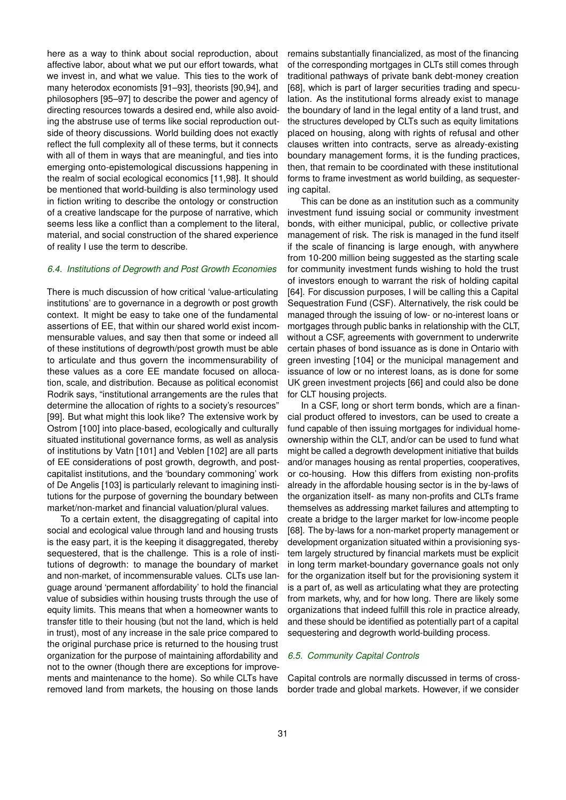here as a way to think about social reproduction, about affective labor, about what we put our effort towards, what we invest in, and what we value. This ties to the work of many heterodox economists [\[91–](#page-12-5)[93\]](#page-12-6), theorists [\[90,](#page-12-4)[94\]](#page-12-7), and philosophers [\[95](#page-12-8)[–97\]](#page-12-9) to describe the power and agency of directing resources towards a desired end, while also avoiding the abstruse use of terms like social reproduction outside of theory discussions. World building does not exactly reflect the full complexity all of these terms, but it connects with all of them in ways that are meaningful, and ties into emerging onto-epistemological discussions happening in the realm of social ecological economics [\[11,](#page-10-9)[98\]](#page-12-10). It should be mentioned that world-building is also terminology used in fiction writing to describe the ontology or construction of a creative landscape for the purpose of narrative, which seems less like a conflict than a complement to the literal, material, and social construction of the shared experience of reality I use the term to describe.

## *6.4. Institutions of Degrowth and Post Growth Economies*

There is much discussion of how critical 'value-articulating institutions' are to governance in a degrowth or post growth context. It might be easy to take one of the fundamental assertions of EE, that within our shared world exist incommensurable values, and say then that some or indeed all of these institutions of degrowth/post growth must be able to articulate and thus govern the incommensurability of these values as a core EE mandate focused on allocation, scale, and distribution. Because as political economist Rodrik says, "institutional arrangements are the rules that determine the allocation of rights to a society's resources" [\[99\]](#page-12-11). But what might this look like? The extensive work by Ostrom [\[100\]](#page-12-12) into place-based, ecologically and culturally situated institutional governance forms, as well as analysis of institutions by Vatn [\[101\]](#page-12-13) and Veblen [\[102\]](#page-12-14) are all parts of EE considerations of post growth, degrowth, and postcapitalist institutions, and the 'boundary commoning' work of De Angelis [\[103\]](#page-12-15) is particularly relevant to imagining institutions for the purpose of governing the boundary between market/non-market and financial valuation/plural values.

To a certain extent, the disaggregating of capital into social and ecological value through land and housing trusts is the easy part, it is the keeping it disaggregated, thereby sequestered, that is the challenge. This is a role of institutions of degrowth: to manage the boundary of market and non-market, of incommensurable values. CLTs use language around 'permanent affordability' to hold the financial value of subsidies within housing trusts through the use of equity limits. This means that when a homeowner wants to transfer title to their housing (but not the land, which is held in trust), most of any increase in the sale price compared to the original purchase price is returned to the housing trust organization for the purpose of maintaining affordability and not to the owner (though there are exceptions for improvements and maintenance to the home). So while CLTs have removed land from markets, the housing on those lands

remains substantially financialized, as most of the financing of the corresponding mortgages in CLTs still comes through traditional pathways of private bank debt-money creation [\[68\]](#page-11-25), which is part of larger securities trading and speculation. As the institutional forms already exist to manage the boundary of land in the legal entity of a land trust, and the structures developed by CLTs such as equity limitations placed on housing, along with rights of refusal and other clauses written into contracts, serve as already-existing boundary management forms, it is the funding practices, then, that remain to be coordinated with these institutional forms to frame investment as world building, as sequestering capital.

This can be done as an institution such as a community investment fund issuing social or community investment bonds, with either municipal, public, or collective private management of risk. The risk is managed in the fund itself if the scale of financing is large enough, with anywhere from 10-200 million being suggested as the starting scale for community investment funds wishing to hold the trust of investors enough to warrant the risk of holding capital [\[64\]](#page-11-21). For discussion purposes, I will be calling this a Capital Sequestration Fund (CSF). Alternatively, the risk could be managed through the issuing of low- or no-interest loans or mortgages through public banks in relationship with the CLT, without a CSF, agreements with government to underwrite certain phases of bond issuance as is done in Ontario with green investing [\[104\]](#page-12-16) or the municipal management and issuance of low or no interest loans, as is done for some UK green investment projects [\[66\]](#page-11-23) and could also be done for CLT housing projects.

In a CSF, long or short term bonds, which are a financial product offered to investors, can be used to create a fund capable of then issuing mortgages for individual homeownership within the CLT, and/or can be used to fund what might be called a degrowth development initiative that builds and/or manages housing as rental properties, cooperatives, or co-housing. How this differs from existing non-profits already in the affordable housing sector is in the by-laws of the organization itself- as many non-profits and CLTs frame themselves as addressing market failures and attempting to create a bridge to the larger market for low-income people [\[68\]](#page-11-25). The by-laws for a non-market property management or development organization situated within a provisioning system largely structured by financial markets must be explicit in long term market-boundary governance goals not only for the organization itself but for the provisioning system it is a part of, as well as articulating what they are protecting from markets, why, and for how long. There are likely some organizations that indeed fulfill this role in practice already, and these should be identified as potentially part of a capital sequestering and degrowth world-building process.

## *6.5. Community Capital Controls*

Capital controls are normally discussed in terms of crossborder trade and global markets. However, if we consider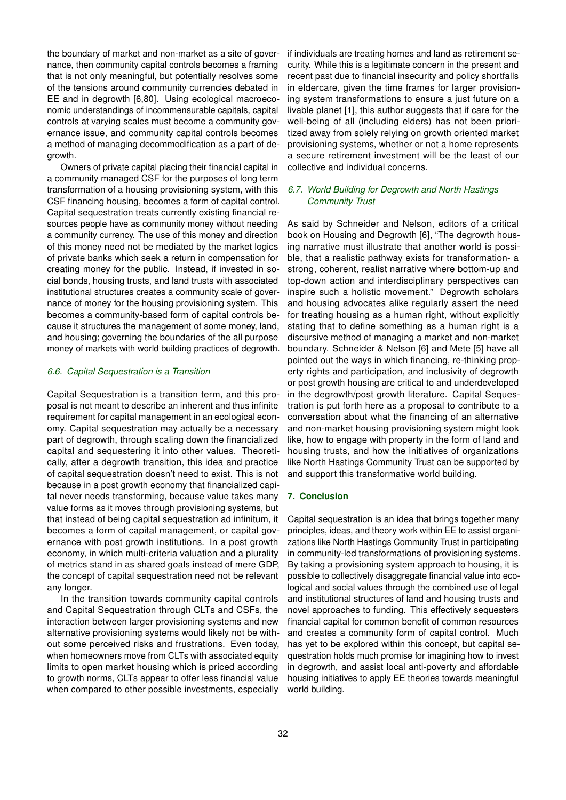the boundary of market and non-market as a site of governance, then community capital controls becomes a framing that is not only meaningful, but potentially resolves some of the tensions around community currencies debated in EE and in degrowth [\[6](#page-10-5)[,80\]](#page-11-37). Using ecological macroeconomic understandings of incommensurable capitals, capital controls at varying scales must become a community governance issue, and community capital controls becomes a method of managing decommodification as a part of degrowth.

Owners of private capital placing their financial capital in a community managed CSF for the purposes of long term transformation of a housing provisioning system, with this CSF financing housing, becomes a form of capital control. Capital sequestration treats currently existing financial resources people have as community money without needing a community currency. The use of this money and direction of this money need not be mediated by the market logics of private banks which seek a return in compensation for creating money for the public. Instead, if invested in social bonds, housing trusts, and land trusts with associated institutional structures creates a community scale of governance of money for the housing provisioning system. This becomes a community-based form of capital controls because it structures the management of some money, land, and housing; governing the boundaries of the all purpose money of markets with world building practices of degrowth.

## *6.6. Capital Sequestration is a Transition*

Capital Sequestration is a transition term, and this proposal is not meant to describe an inherent and thus infinite requirement for capital management in an ecological economy. Capital sequestration may actually be a necessary part of degrowth, through scaling down the financialized capital and sequestering it into other values. Theoretically, after a degrowth transition, this idea and practice of capital sequestration doesn't need to exist. This is not because in a post growth economy that financialized capital never needs transforming, because value takes many value forms as it moves through provisioning systems, but that instead of being capital sequestration ad infinitum, it becomes a form of capital management, or capital governance with post growth institutions. In a post growth economy, in which multi-criteria valuation and a plurality of metrics stand in as shared goals instead of mere GDP, the concept of capital sequestration need not be relevant any longer.

In the transition towards community capital controls and Capital Sequestration through CLTs and CSFs, the interaction between larger provisioning systems and new alternative provisioning systems would likely not be without some perceived risks and frustrations. Even today, when homeowners move from CLTs with associated equity limits to open market housing which is priced according to growth norms, CLTs appear to offer less financial value when compared to other possible investments, especially if individuals are treating homes and land as retirement security. While this is a legitimate concern in the present and recent past due to financial insecurity and policy shortfalls in eldercare, given the time frames for larger provisioning system transformations to ensure a just future on a livable planet [\[1\]](#page-10-0), this author suggests that if care for the well-being of all (including elders) has not been prioritized away from solely relying on growth oriented market provisioning systems, whether or not a home represents a secure retirement investment will be the least of our collective and individual concerns.

## *6.7. World Building for Degrowth and North Hastings Community Trust*

As said by Schneider and Nelson, editors of a critical book on Housing and Degrowth [\[6\]](#page-10-5), "The degrowth housing narrative must illustrate that another world is possible, that a realistic pathway exists for transformation- a strong, coherent, realist narrative where bottom-up and top-down action and interdisciplinary perspectives can inspire such a holistic movement." Degrowth scholars and housing advocates alike regularly assert the need for treating housing as a human right, without explicitly stating that to define something as a human right is a discursive method of managing a market and non-market boundary. Schneider & Nelson [\[6\]](#page-10-5) and Mete [\[5\]](#page-10-4) have all pointed out the ways in which financing, re-thinking property rights and participation, and inclusivity of degrowth or post growth housing are critical to and underdeveloped in the degrowth/post growth literature. Capital Sequestration is put forth here as a proposal to contribute to a conversation about what the financing of an alternative and non-market housing provisioning system might look like, how to engage with property in the form of land and housing trusts, and how the initiatives of organizations like North Hastings Community Trust can be supported by and support this transformative world building.

#### **7. Conclusion**

Capital sequestration is an idea that brings together many principles, ideas, and theory work within EE to assist organizations like North Hastings Community Trust in participating in community-led transformations of provisioning systems. By taking a provisioning system approach to housing, it is possible to collectively disaggregate financial value into ecological and social values through the combined use of legal and institutional structures of land and housing trusts and novel approaches to funding. This effectively sequesters financial capital for common benefit of common resources and creates a community form of capital control. Much has yet to be explored within this concept, but capital sequestration holds much promise for imagining how to invest in degrowth, and assist local anti-poverty and affordable housing initiatives to apply EE theories towards meaningful world building.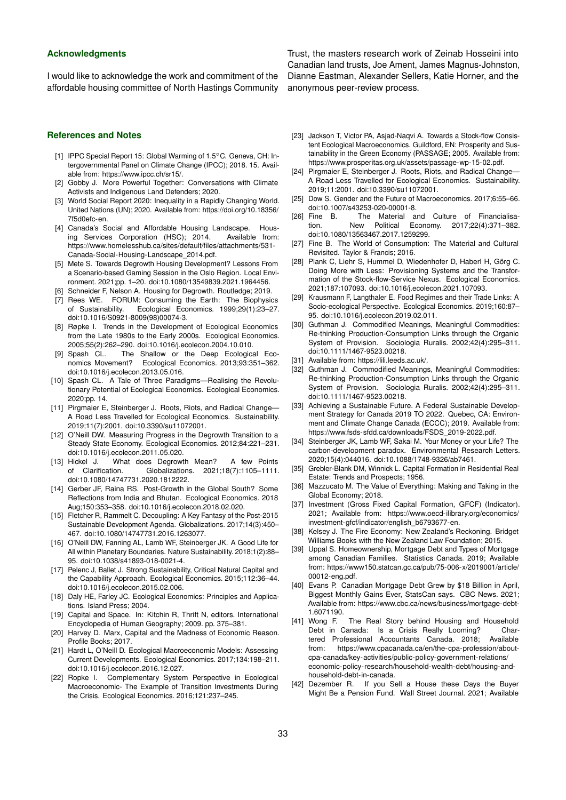#### **Acknowledgments**

I would like to acknowledge the work and commitment of the affordable housing committee of North Hastings Community

**References and Notes**

- <span id="page-10-0"></span>[1] IPPC Special Report 15: Global Warming of 1.5℃C. Geneva, CH: Intergovernmental Panel on Climate Change (IPCC); 2018. 15. Available from: [https://www.ipcc.ch/sr15/.](https://www.ipcc.ch/sr15/)
- <span id="page-10-1"></span>[2] Gobby J. More Powerful Together: Conversations with Climate Activists and Indigenous Land Defenders; 2020.
- <span id="page-10-2"></span>[3] World Social Report 2020: Inequality in a Rapidly Changing World. United Nations (UN); 2020. Available from: [https://doi.org/10.18356/](https://doi.org/10.18356/7f5d0efc-en) [7f5d0efc-en.](https://doi.org/10.18356/7f5d0efc-en)
- <span id="page-10-3"></span>[4] Canada's Social and Affordable Housing Landscape. Housing Services Corporation (HSC); 2014. Available from: [https://www.homelesshub.ca/sites/default/files/attachments/531-](https://www.homelesshub.ca/sites/default/files/attachments/531-Canada-Social-Housing-Landscape_2014.pdf) [Canada-Social-Housing-Landscape\\_2014.pdf.](https://www.homelesshub.ca/sites/default/files/attachments/531-Canada-Social-Housing-Landscape_2014.pdf)
- <span id="page-10-4"></span>[5] Mete S. Towards Degrowth Housing Development? Lessons From a Scenario-based Gaming Session in the Oslo Region. Local Environment. 2021;pp. 1–20. [doi:10.1080/13549839.2021.1964456.](https://doi.org/10.1080/13549839.2021.1964456)
- <span id="page-10-5"></span>[6] Schneider F, Nelson A. Housing for Degrowth. Routledge; 2019.
- <span id="page-10-6"></span>[7] Rees WE. FORUM: Consuming the Earth: The Biophysics of Sustainability. Ecological Economics. 1999;29(1):23–27. [doi:10.1016/S0921-8009\(98\)00074-3.](https://doi.org/10.1016/S0921-8009(98)00074-3)
- <span id="page-10-7"></span>[8] Røpke I. Trends in the Development of Ecological Economics from the Late 1980s to the Early 2000s. Ecological Economics. 2005;55(2):262–290. [doi:10.1016/j.ecolecon.2004.10.010.](https://doi.org/10.1016/j.ecolecon.2004.10.010)
- <span id="page-10-8"></span>[9] Spash CL. The Shallow or the Deep Ecological Economics Movement? Ecological Economics. 2013;93:351–362. [doi:10.1016/j.ecolecon.2013.05.016.](https://doi.org/10.1016/j.ecolecon.2013.05.016)
- [10] Spash CL. A Tale of Three Paradigms-Realising the Revolutionary Potential of Ecological Economics. Ecological Economics. 2020;pp. 14.
- <span id="page-10-9"></span>[11] Pirgmaier E, Steinberger J. Roots, Riots, and Radical Change— A Road Less Travelled for Ecological Economics. Sustainability. 2019;11(7):2001. [doi:10.3390/su11072001.](https://doi.org/10.3390/su11072001)
- <span id="page-10-10"></span>[12] O'Neill DW. Measuring Progress in the Degrowth Transition to a Steady State Economy. Ecological Economics. 2012;84:221–231. [doi:10.1016/j.ecolecon.2011.05.020.](https://doi.org/10.1016/j.ecolecon.2011.05.020)
- <span id="page-10-11"></span>[13] Hickel J. What does Degrowth Mean? A few Points of Clarification. Globalizations. 2021;18(7):1105–1111. [doi:10.1080/14747731.2020.1812222.](https://doi.org/10.1080/14747731.2020.1812222)
- <span id="page-10-12"></span>[14] Gerber JF, Raina RS. Post-Growth in the Global South? Some Reflections from India and Bhutan. Ecological Economics. 2018 Aug;150:353–358. [doi:10.1016/j.ecolecon.2018.02.020.](https://doi.org/10.1016/j.ecolecon.2018.02.020)
- <span id="page-10-13"></span>[15] Fletcher R, Rammelt C. Decoupling: A Key Fantasy of the Post-2015 Sustainable Development Agenda. Globalizations. 2017;14(3):450– 467. [doi:10.1080/14747731.2016.1263077.](https://doi.org/10.1080/14747731.2016.1263077)
- <span id="page-10-14"></span>[16] O'Neill DW, Fanning AL, Lamb WF, Steinberger JK. A Good Life for All within Planetary Boundaries. Nature Sustainability. 2018;1(2):88– 95. [doi:10.1038/s41893-018-0021-4.](https://doi.org/10.1038/s41893-018-0021-4)
- <span id="page-10-15"></span>[17] Pelenc J, Ballet J. Strong Sustainability, Critical Natural Capital and the Capability Approach. Ecological Economics. 2015;112:36–44. [doi:10.1016/j.ecolecon.2015.02.006.](https://doi.org/10.1016/j.ecolecon.2015.02.006)
- <span id="page-10-16"></span>[18] Daly HE, Farley JC. Ecological Economics: Principles and Applications. Island Press; 2004.
- <span id="page-10-17"></span>[19] Capital and Space. In: Kitchin R, Thrift N, editors. International Encyclopedia of Human Geography; 2009. pp. 375–381.
- <span id="page-10-18"></span>[20] Harvey D. Marx, Capital and the Madness of Economic Reason. Profile Books; 2017.
- <span id="page-10-19"></span>[21] Hardt L, O'Neill D. Ecological Macroeconomic Models: Assessing Current Developments. Ecological Economics. 2017;134:198–211. [doi:10.1016/j.ecolecon.2016.12.027.](https://doi.org/10.1016/j.ecolecon.2016.12.027)
- <span id="page-10-20"></span>[22] Ropke I. Complementary System Perspective in Ecological Macroeconomic- The Example of Transition Investments During the Crisis. Ecological Economics. 2016;121:237–245.

Trust, the masters research work of Zeinab Hosseini into Canadian land trusts, Joe Ament, James Magnus-Johnston, Dianne Eastman, Alexander Sellers, Katie Horner, and the anonymous peer-review process.

- <span id="page-10-21"></span>[23] Jackson T, Victor PA, Asjad-Naqvi A. Towards a Stock-flow Consistent Ecological Macroeconomics. Guildford, EN: Prosperity and Sustainability in the Green Economy (PASSAGE; 2005. Available from: [https://www.prosperitas.org.uk/assets/passage-wp-15-02.pdf.](https://www.prosperitas.org.uk/assets/passage-wp-15-02.pdf)
- <span id="page-10-22"></span>[24] Pirgmaier E, Steinberger J. Roots, Riots, and Radical Change— A Road Less Travelled for Ecological Economics. Sustainability. 2019;11:2001. [doi:10.3390/su11072001.](https://doi.org/10.3390/su11072001)
- <span id="page-10-23"></span>[25] Dow S. Gender and the Future of Macroeconomics. 2017;6:55-66. [doi:10.1007/s43253-020-00001-8.](https://doi.org/10.1007/s43253-020-00001-8)
- <span id="page-10-24"></span>[26] Fine B. The Material and Culture of Financialisation. New Political Economy. 2017;22(4):371–382. [doi:10.1080/13563467.2017.1259299.](https://doi.org/10.1080/13563467.2017.1259299)
- <span id="page-10-25"></span>[27] Fine B. The World of Consumption: The Material and Cultural Revisited. Taylor & Francis; 2016.
- <span id="page-10-26"></span>[28] Plank C, Liehr S, Hummel D, Wiedenhofer D, Haberl H, Görg C. Doing More with Less: Provisioning Systems and the Transformation of the Stock-flow-Service Nexus. Ecological Economics. 2021;187:107093. [doi:10.1016/j.ecolecon.2021.107093.](https://doi.org/10.1016/j.ecolecon.2021.107093)
- <span id="page-10-27"></span>[29] Krausmann F, Langthaler E. Food Regimes and their Trade Links: A Socio-ecological Perspective. Ecological Economics. 2019;160:87– 95. [doi:10.1016/j.ecolecon.2019.02.011.](https://doi.org/10.1016/j.ecolecon.2019.02.011)
- <span id="page-10-28"></span>[30] Guthman J. Commodified Meanings, Meaningful Commodities: Re-thinking Production-Consumption Links through the Organic System of Provision. Sociologia Ruralis. 2002;42(4):295–311. [doi:10.1111/1467-9523.00218.](https://doi.org/10.1111/1467-9523.00218)
- <span id="page-10-29"></span>[31] Available from: [https://lili.leeds.ac.uk/.](https://lili.leeds.ac.uk/)
- <span id="page-10-30"></span>[32] Guthman J. Commodified Meanings, Meaningful Commodities: Re-thinking Production-Consumption Links through the Organic System of Provision. Sociologia Ruralis. 2002;42(4):295–311. [doi:10.1111/1467-9523.00218.](https://doi.org/10.1111/1467-9523.00218)
- <span id="page-10-31"></span>[33] Achieving a Sustainable Future. A Federal Sustainable Development Strategy for Canada 2019 TO 2022. Quebec, CA: Environment and Climate Change Canada (ECCC); 2019. Available from: [https://www.fsds-sfdd.ca/downloads/FSDS\\_2019-2022.pdf.](https://www.fsds-sfdd.ca/downloads/FSDS_2019-2022.pdf)
- <span id="page-10-32"></span>[34] Steinberger JK, Lamb WF, Sakai M. Your Money or your Life? The carbon-development paradox. Environmental Research Letters. 2020;15(4):044016. [doi:10.1088/1748-9326/ab7461.](https://doi.org/10.1088/1748-9326/ab7461)
- <span id="page-10-33"></span>[35] Grebler-Blank DM, Winnick L. Capital Formation in Residential Real Estate: Trends and Prospects; 1956.
- <span id="page-10-34"></span>[36] Mazzucato M. The Value of Everything: Making and Taking in the Global Economy; 2018.
- <span id="page-10-35"></span>[37] Investment (Gross Fixed Capital Formation, GFCF) (Indicator). 2021; Available from: [https://www.oecd-ilibrary.org/economics/](https://www.oecd-ilibrary.org/economics/investment-gfcf/indicator/english_b6793677-en) [investment-gfcf/indicator/english\\_b6793677-en.](https://www.oecd-ilibrary.org/economics/investment-gfcf/indicator/english_b6793677-en)
- <span id="page-10-36"></span>[38] Kelsey J. The Fire Economy: New Zealand's Reckoning. Bridget Williams Books with the New Zealand Law Foundation; 2015.
- <span id="page-10-37"></span>[39] Uppal S. Homeownership, Mortgage Debt and Types of Mortgage among Canadian Families. Statistics Canada. 2019; Available from: [https://www150.statcan.gc.ca/pub/75-006-x/2019001/article/](https://www150.statcan.gc.ca/pub/75-006-x/2019001/article/00012-eng.pdf) [00012-eng.pdf.](https://www150.statcan.gc.ca/pub/75-006-x/2019001/article/00012-eng.pdf)
- <span id="page-10-38"></span>[40] Evans P. Canadian Mortgage Debt Grew by \$18 Billion in April, Biggest Monthly Gains Ever, StatsCan says. CBC News. 2021; Available from: [https://www.cbc.ca/news/business/mortgage-debt-](https://www.cbc.ca/news/business/mortgage-debt-1.6071190)1.6071190<br>[41] Wong F.
- <span id="page-10-39"></span>The Real Story behind Housing and Household Debt in Canada: Is a Crisis Really Looming? Chartered Professional Accountants Canada. 2018; Available from: [https://www.cpacanada.ca/en/the-cpa-profession/about](https://www.cpacanada.ca/en/the-cpa-profession/about-cpa-canada/key-activities/public-policy-government-relations/economic-policy-research/household-wealth-debt/housing-and-household-debt-in-canada)[cpa-canada/key-activities/public-policy-government-relations/](https://www.cpacanada.ca/en/the-cpa-profession/about-cpa-canada/key-activities/public-policy-government-relations/economic-policy-research/household-wealth-debt/housing-and-household-debt-in-canada) [economic-policy-research/household-wealth-debt/housing-and](https://www.cpacanada.ca/en/the-cpa-profession/about-cpa-canada/key-activities/public-policy-government-relations/economic-policy-research/household-wealth-debt/housing-and-household-debt-in-canada)[household-debt-in-canada.](https://www.cpacanada.ca/en/the-cpa-profession/about-cpa-canada/key-activities/public-policy-government-relations/economic-policy-research/household-wealth-debt/housing-and-household-debt-in-canada)
- <span id="page-10-40"></span>[42] Dezember R. If you Sell a House these Days the Buyer Might Be a Pension Fund. Wall Street Journal. 2021; Available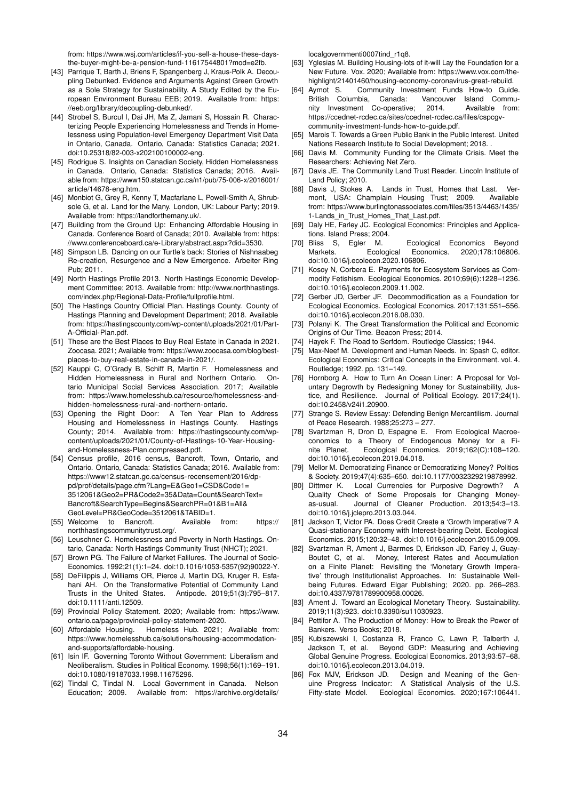from: [https://www.wsj.com/articles/if-you-sell-a-house-these-days](https://www.wsj.com/articles/if-you-sell-a-house-these-days-the-buyer-might-be-a-pension-fund-11617544801?mod=e2fb)[the-buyer-might-be-a-pension-fund-11617544801?mod=e2fb.](https://www.wsj.com/articles/if-you-sell-a-house-these-days-the-buyer-might-be-a-pension-fund-11617544801?mod=e2fb)

- <span id="page-11-0"></span>[43] Parrique T, Barth J, Briens F, Spangenberg J, Kraus-Polk A. Decoupling Debunked. Evidence and Arguments Against Green Growth as a Sole Strategy for Sustainability. A Study Edited by the European Environment Bureau EEB; 2019. Available from: [https:](https://eeb.org/library/decoupling-debunked/) [//eeb.org/library/decoupling-debunked/.](https://eeb.org/library/decoupling-debunked/)
- <span id="page-11-1"></span>[44] Strobel S, Burcul I, Dai JH, Ma Z, Jamani S, Hossain R. Characterizing People Experiencing Homelessness and Trends in Homelessness using Population-level Emergency Department Visit Data in Ontario, Canada. Ontario, Canada: Statistics Canada; 2021. [doi:10.25318/82-003-x202100100002-eng.](https://doi.org/10.25318/82-003-x202100100002-eng)
- <span id="page-11-2"></span>[45] Rodrigue S. Insights on Canadian Society, Hidden Homelessness in Canada. Ontario, Canada: Statistics Canada; 2016. Available from: [https://www150.statcan.gc.ca/n1/pub/75-006-x/2016001/](https://www150.statcan.gc.ca/n1/pub/75-006-x/2016001/article/14678-eng.htm) [article/14678-eng.htm.](https://www150.statcan.gc.ca/n1/pub/75-006-x/2016001/article/14678-eng.htm)
- <span id="page-11-3"></span>[46] Monbiot G, Grey R, Kenny T, Macfarlane L, Powell-Smith A, Shrubsole G, et al. Land for the Many. London, UK: Labour Party; 2019. Available from: [https://landforthemany.uk/.](https://landforthemany.uk/)
- <span id="page-11-4"></span>[47] Building from the Ground Up: Enhancing Affordable Housing in Canada. Conference Board of Canada; 2010. Available from: [https:](https://www.conferenceboard.ca/e-Library/abstract.aspx?did=3530) [//www.conferenceboard.ca/e-Library/abstract.aspx?did=3530.](https://www.conferenceboard.ca/e-Library/abstract.aspx?did=3530)
- <span id="page-11-5"></span>[48] Simpson LB. Dancing on our Turtle's back: Stories of Nishnaabeg Re-creation, Resurgence and a New Emergence. Arbeiter Ring Pub; 2011.
- <span id="page-11-6"></span>[49] North Hastings Profile 2013. North Hastings Economic Development Committee; 2013. Available from: [http://www.northhastings.](http://www.northhastings.com/index.php/Regional-Data-Profile/fullprofile.html) [com/index.php/Regional-Data-Profile/fullprofile.html.](http://www.northhastings.com/index.php/Regional-Data-Profile/fullprofile.html)
- <span id="page-11-7"></span>[50] The Hastings Country Official Plan. Hastings County. County of Hastings Planning and Development Department; 2018. Available from: [https://hastingscounty.com/wp-content/uploads/2021/01/Part-](https://hastingscounty.com/wp-content/uploads/2021/01/Part-A-Official-Plan.pdf)[A-Official-Plan.pdf.](https://hastingscounty.com/wp-content/uploads/2021/01/Part-A-Official-Plan.pdf)
- <span id="page-11-8"></span>[51] These are the Best Places to Buy Real Estate in Canada in 2021. Zoocasa. 2021; Available from: [https://www.zoocasa.com/blog/best](https://www.zoocasa.com/blog/best-places-to-buy-real-estate-in-canada-in-2021/)[places-to-buy-real-estate-in-canada-in-2021/.](https://www.zoocasa.com/blog/best-places-to-buy-real-estate-in-canada-in-2021/)
- <span id="page-11-9"></span>[52] Kauppi C, O'Grady B, Schiff R, Martin F. Homelessness and Hidden Homelessness in Rural and Northern Ontario. Ontario Municipal Social Services Association. 2017; Available from: [https://www.homelesshub.ca/resource/homelessness-and](https://www.homelesshub.ca/resource/homelessness-and-hidden-homelessness-rural-and-northern-ontario)[hidden-homelessness-rural-and-northern-ontario.](https://www.homelesshub.ca/resource/homelessness-and-hidden-homelessness-rural-and-northern-ontario)
- <span id="page-11-10"></span>[53] Opening the Right Door: A Ten Year Plan to Address Housing and Homelessness in Hastings County. Hastings County; 2014. Available from: [https://hastingscounty.com/wp](https://hastingscounty.com/wp-content/uploads/2021/01/County-of-Hastings-10-Year-Housing-and-Homelessness-Plan.compressed.pdf)[content/uploads/2021/01/County-of-Hastings-10-Year-Housing](https://hastingscounty.com/wp-content/uploads/2021/01/County-of-Hastings-10-Year-Housing-and-Homelessness-Plan.compressed.pdf)[and-Homelessness-Plan.compressed.pdf.](https://hastingscounty.com/wp-content/uploads/2021/01/County-of-Hastings-10-Year-Housing-and-Homelessness-Plan.compressed.pdf)
- <span id="page-11-11"></span>[54] Census profile, 2016 census, Bancroft, Town, Ontario, and Ontario. Ontario, Canada: Statistics Canada; 2016. Available from: [https://www12.statcan.gc.ca/census-recensement/2016/dp](https://www12.statcan.gc.ca/census-recensement/2016/dp-pd/prof/details/page.cfm?Lang=E&Geo1=CSD&Code1=3512061&Geo2=PR&Code2=35&Data=Count&SearchText=Bancroft&SearchType=Begins&SearchPR=01&B1=All&GeoLevel=PR&GeoCode=3512061&TABID=1)[pd/prof/details/page.cfm?Lang=E&Geo1=CSD&Code1=](https://www12.statcan.gc.ca/census-recensement/2016/dp-pd/prof/details/page.cfm?Lang=E&Geo1=CSD&Code1=3512061&Geo2=PR&Code2=35&Data=Count&SearchText=Bancroft&SearchType=Begins&SearchPR=01&B1=All&GeoLevel=PR&GeoCode=3512061&TABID=1) [3512061&Geo2=PR&Code2=35&Data=Count&SearchText=](https://www12.statcan.gc.ca/census-recensement/2016/dp-pd/prof/details/page.cfm?Lang=E&Geo1=CSD&Code1=3512061&Geo2=PR&Code2=35&Data=Count&SearchText=Bancroft&SearchType=Begins&SearchPR=01&B1=All&GeoLevel=PR&GeoCode=3512061&TABID=1) [Bancroft&SearchType=Begins&SearchPR=01&B1=All&](https://www12.statcan.gc.ca/census-recensement/2016/dp-pd/prof/details/page.cfm?Lang=E&Geo1=CSD&Code1=3512061&Geo2=PR&Code2=35&Data=Count&SearchText=Bancroft&SearchType=Begins&SearchPR=01&B1=All&GeoLevel=PR&GeoCode=3512061&TABID=1) [GeoLevel=PR&GeoCode=3512061&TABID=1.](https://www12.statcan.gc.ca/census-recensement/2016/dp-pd/prof/details/page.cfm?Lang=E&Geo1=CSD&Code1=3512061&Geo2=PR&Code2=35&Data=Count&SearchText=Bancroft&SearchType=Begins&SearchPR=01&B1=All&GeoLevel=PR&GeoCode=3512061&TABID=1)
- <span id="page-11-12"></span>[55] Welcome to Bancroft. Available from: [https://](https://northhastingscommunitytrust.org/) [northhastingscommunitytrust.org/.](https://northhastingscommunitytrust.org/)
- <span id="page-11-13"></span>[56] Leuschner C. Homelessness and Poverty in North Hastings. Ontario, Canada: North Hastings Community Trust (NHCT); 2021.
- <span id="page-11-14"></span>[57] Brown PG. The Failure of Market Falilures. The Journal of Socio-Economics. 1992;21(1):1–24. [doi:10.1016/1053-5357\(92\)90022-Y.](https://doi.org/10.1016/1053-5357(92)90022-Y)
- <span id="page-11-15"></span>[58] DeFilippis J, Williams OR, Pierce J, Martin DG, Kruger R, Esfahani AH. On the Transformative Potential of Community Land Trusts in the United States. Antipode. 2019;51(3):795–817. [doi:10.1111/anti.12509.](https://doi.org/10.1111/anti.12509)
- <span id="page-11-16"></span>[59] Provincial Policy Statement. 2020; Available from: [https://www.](https://www.ontario.ca/page/provincial-policy-statement-2020) [ontario.ca/page/provincial-policy-statement-2020.](https://www.ontario.ca/page/provincial-policy-statement-2020)
- <span id="page-11-17"></span>[60] Affordable Housing. Homeless Hub. 2021; Available from: [https://www.homelesshub.ca/solutions/housing-accommodation](https://www.homelesshub.ca/solutions/housing-accommodation-and-supports/affordable-housing)[and-supports/affordable-housing.](https://www.homelesshub.ca/solutions/housing-accommodation-and-supports/affordable-housing)
- <span id="page-11-18"></span>[61] Isin IF. Governing Toronto Without Government: Liberalism and Neoliberalism. Studies in Political Economy. 1998;56(1):169–191. [doi:10.1080/19187033.1998.11675296.](https://doi.org/10.1080/19187033.1998.11675296)
- <span id="page-11-19"></span>[62] Tindal C, Tindal N. Local Government in Canada. Nelson Education; 2009. Available from: [https://archive.org/details/](https://archive.org/details/localgovernmenti0007tind_r1q8)

[localgovernmenti0007tind\\_r1q8.](https://archive.org/details/localgovernmenti0007tind_r1q8)

- <span id="page-11-20"></span>[63] Yglesias M. Building Housing-lots of it-will Lay the Foundation for a New Future. Vox. 2020; Available from: [https://www.vox.com/the](https://www.vox.com/the-highlight/21401460/housing-economy-coronavirus-great-rebuild)[highlight/21401460/housing-economy-coronavirus-great-rebuild.](https://www.vox.com/the-highlight/21401460/housing-economy-coronavirus-great-rebuild)
- <span id="page-11-21"></span>[64] Aymot S. Community Investment Funds How-to Guide. British Columbia, Canada: nity Investment Co-operative; 2014. Available from: [https://ccednet-rcdec.ca/sites/ccednet-rcdec.ca/files/cspcgv](https://ccednet-rcdec.ca/sites/ccednet-rcdec.ca/files/cspcgv-community-investment-funds-how-to-guide.pdf)[community-investment-funds-how-to-guide.pdf.](https://ccednet-rcdec.ca/sites/ccednet-rcdec.ca/files/cspcgv-community-investment-funds-how-to-guide.pdf)
- <span id="page-11-22"></span>[65] Marois T. Towards a Green Public Bank in the Public Interest. United Nations Research Institute fo Social Development; 2018. .
- <span id="page-11-23"></span>[66] Davis M. Community Funding for the Climate Crisis. Meet the Researchers: Achieving Net Zero.
- <span id="page-11-24"></span>[67] Davis JE. The Community Land Trust Reader. Lincoln Institute of Land Policy; 2010.
- <span id="page-11-25"></span>[68] Davis J, Stokes A. Lands in Trust, Homes that Last. Vermont, USA: Champlain Housing Trust; 2009. from: [https://www.burlingtonassociates.com/files/3513/4463/1435/](https://www.burlingtonassociates.com/files/3513/4463/1435/1-Lands_in_Trust_Homes_That_Last.pdf) 1-Lands in Trust Homes That Last.pdf.
- <span id="page-11-26"></span>[69] Daly HE, Farley JC. Ecological Economics: Principles and Applica-
- <span id="page-11-27"></span>tions. Island Press; 2004.<br>[70] Bliss S, Egler M. Ecological Economics Beyond Markets. Ecological Economics. 2020;178:106806. [doi:10.1016/j.ecolecon.2020.106806.](https://doi.org/10.1016/j.ecolecon.2020.106806)
- <span id="page-11-28"></span>[71] Kosoy N, Corbera E. Payments for Ecosystem Services as Commodity Fetishism. Ecological Economics. 2010;69(6):1228–1236. [doi:10.1016/j.ecolecon.2009.11.002.](https://doi.org/10.1016/j.ecolecon.2009.11.002)
- <span id="page-11-29"></span>[72] Gerber JD, Gerber JF. Decommodification as a Foundation for Ecological Economics. Ecological Economics. 2017;131:551–556. [doi:10.1016/j.ecolecon.2016.08.030.](https://doi.org/10.1016/j.ecolecon.2016.08.030)
- <span id="page-11-30"></span>[73] Polanyi K. The Great Transformation the Political and Economic Origins of Our Time. Beacon Press; 2014.
- <span id="page-11-31"></span>[74] Hayek F. The Road to Serfdom. Routledge Classics: 1944.
- <span id="page-11-32"></span>[75] Max-Neef M. Development and Human Needs. In: Spash C, editor. Ecological Economics: Critical Concepts in the Environment. vol. 4. Routledge; 1992. pp. 131–149.
- <span id="page-11-33"></span>[76] Hornborg A. How to Turn An Ocean Liner: A Proposal for Voluntary Degrowth by Redesigning Money for Sustainability, Justice, and Resilience. Journal of Political Ecology. 2017;24(1). [doi:10.2458/v24i1.20900.](https://doi.org/10.2458/v24i1.20900)
- <span id="page-11-34"></span>[77] Strange S. Review Essay: Defending Benign Mercantilism. Journal of Peace Research. 1988;25:273 – 277.
- <span id="page-11-35"></span>[78] Svartzman R, Dron D, Espagne E. From Ecological Macroeconomics to a Theory of Endogenous Money for a Finite Planet. Ecological Economics. 2019;162(C):108–120. [doi:10.1016/j.ecolecon.2019.04.018.](https://doi.org/10.1016/j.ecolecon.2019.04.018)
- <span id="page-11-36"></span>[79] Mellor M. Democratizing Finance or Democratizing Money? Politics & Society. 2019;47(4):635–650. [doi:10.1177/0032329219878992.](https://doi.org/10.1177/0032329219878992)
- <span id="page-11-37"></span>[80] Dittmer K. Local Currencies for Purposive Degrowth? A Quality Check of Some Proposals for Changing Moneyas-usual. Journal of Cleaner Production. 2013;54:3–13. [doi:10.1016/j.jclepro.2013.03.044.](https://doi.org/10.1016/j.jclepro.2013.03.044)
- <span id="page-11-38"></span>[81] Jackson T, Victor PA. Does Credit Create a 'Growth Imperative'? A Quasi-stationary Economy with Interest-bearing Debt. Ecological Economics. 2015;120:32–48. [doi:10.1016/j.ecolecon.2015.09.009.](https://doi.org/10.1016/j.ecolecon.2015.09.009)
- [82] Svartzman R, Ament J, Barmes D, Erickson JD, Farley J, Guay-Boutet C, et al. Money, Interest Rates and Accumulation on a Finite Planet: Revisiting the 'Monetary Growth Imperative' through Institutionalist Approaches. In: Sustainable Wellbeing Futures. Edward Elgar Publishing; 2020. pp. 266–283. [doi:10.4337/9781789900958.00026.](https://doi.org/10.4337/9781789900958.00026)
- <span id="page-11-39"></span>[83] Ament J. Toward an Ecological Monetary Theory. Sustainability. 2019;11(3):923. [doi:10.3390/su11030923.](https://doi.org/10.3390/su11030923)
- <span id="page-11-40"></span>[84] Pettifor A. The Production of Money: How to Break the Power of Bankers. Verso Books; 2018.
- <span id="page-11-41"></span>[85] Kubiszewski I, Costanza R, Franco C, Lawn P, Talberth J, Jackson T, et al. Beyond GDP: Measuring and Achieving Global Genuine Progress. Ecological Economics. 2013;93:57–68. [doi:10.1016/j.ecolecon.2013.04.019.](https://doi.org/10.1016/j.ecolecon.2013.04.019)
- <span id="page-11-42"></span>[86] Fox MJV, Erickson JD. Design and Meaning of the Genuine Progress Indicator: A Statistical Analysis of the U.S. Fifty-state Model. Ecological Economics. 2020;167:106441.